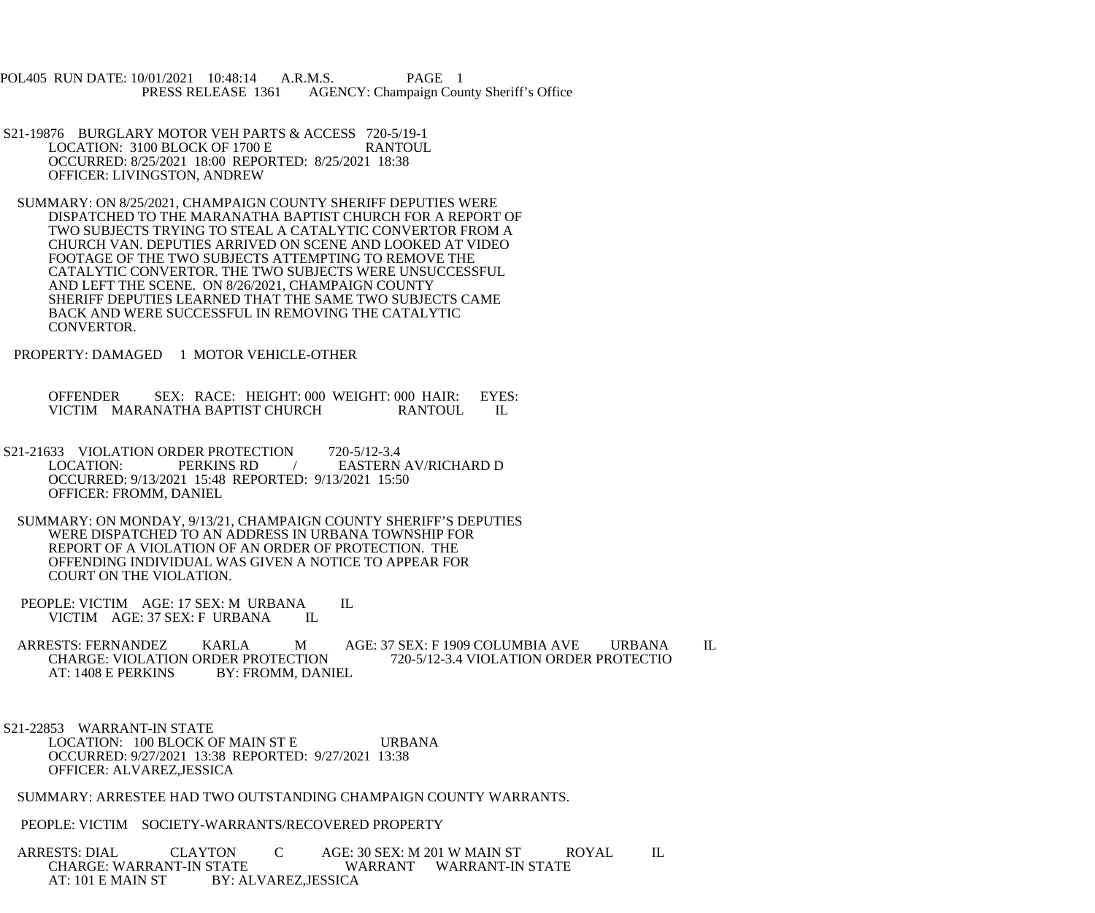POL405 RUN DATE: 10/01/2021 10:48:14 A.R.M.S. PAGE 1 PRESS RELEASE 1361 AGENCY: Champaign County Sheriff's Office

- S21-19876 BURGLARY MOTOR VEH PARTS & ACCESS 720-5/19-1<br>LOCATION: 3100 BLOCK OF 1700 E RANTOUL LOCATION: 3100 BLOCK OF 1700 E OCCURRED: 8/25/2021 18:00 REPORTED: 8/25/2021 18:38 OFFICER: LIVINGSTON, ANDREW
- SUMMARY: ON 8/25/2021, CHAMPAIGN COUNTY SHERIFF DEPUTIES WERE DISPATCHED TO THE MARANATHA BAPTIST CHURCH FOR A REPORT OF TWO SUBJECTS TRYING TO STEAL A CATALYTIC CONVERTOR FROM A CHURCH VAN. DEPUTIES ARRIVED ON SCENE AND LOOKED AT VIDEO FOOTAGE OF THE TWO SUBJECTS ATTEMPTING TO REMOVE THE CATALYTIC CONVERTOR. THE TWO SUBJECTS WERE UNSUCCESSFUL AND LEFT THE SCENE. ON 8/26/2021, CHAMPAIGN COUNTY SHERIFF DEPUTIES LEARNED THAT THE SAME TWO SUBJECTS CAME BACK AND WERE SUCCESSFUL IN REMOVING THE CATALYTIC CONVERTOR.
- PROPERTY: DAMAGED 1 MOTOR VEHICLE-OTHER

 OFFENDER SEX: RACE: HEIGHT: 000 WEIGHT: 000 HAIR: EYES: VICTIM MARANATHA BAPTIST CHURCH RANTOUL IL

- S21-21633 VIOLATION ORDER PROTECTION 720-5/12-3.4<br>LOCATION: PERKINS RD / EASTERN PERKINS RD / EASTERN AV/RICHARD D OCCURRED: 9/13/2021 15:48 REPORTED: 9/13/2021 15:50 OFFICER: FROMM, DANIEL
- SUMMARY: ON MONDAY, 9/13/21, CHAMPAIGN COUNTY SHERIFF'S DEPUTIES WERE DISPATCHED TO AN ADDRESS IN URBANA TOWNSHIP FOR REPORT OF A VIOLATION OF AN ORDER OF PROTECTION. THE OFFENDING INDIVIDUAL WAS GIVEN A NOTICE TO APPEAR FOR COURT ON THE VIOLATION.
- PEOPLE: VICTIM AGE: 17 SEX: M URBANA IL<br>VICTIM AGE: 37 SEX: F URBANA IL VICTIM AGE: 37 SEX: F URBANA

ARRESTS: FERNANDEZ KARLA M AGE: 37 SEX: F 1909 COLUMBIA AVE URBANA IL CHARGE: VIOLATION ORDER PROTECTIO CHARGE: VIOLATION ORDER PROTECTION<br>AT: 1408 E PERKINS BY: FROMM. DAN BY: FROMM, DANIEL

 S21-22853 WARRANT-IN STATE LOCATION: 100 BLOCK OF MAIN ST E URBANA OCCURRED: 9/27/2021 13:38 REPORTED: 9/27/2021 13:38 OFFICER: ALVAREZ,JESSICA

SUMMARY: ARRESTEE HAD TWO OUTSTANDING CHAMPAIGN COUNTY WARRANTS.

PEOPLE: VICTIM SOCIETY-WARRANTS/RECOVERED PROPERTY

 ARRESTS: DIAL CLAYTON C AGE: 30 SEX: M 201 W MAIN ST ROYAL IL CHARGE: WARRANT-IN STATE WARRANT WARRANT-IN STATE<br>AT: 101 E MAIN ST BY: ALVAREZ,JESSICA BY: ALVAREZ, JESSICA